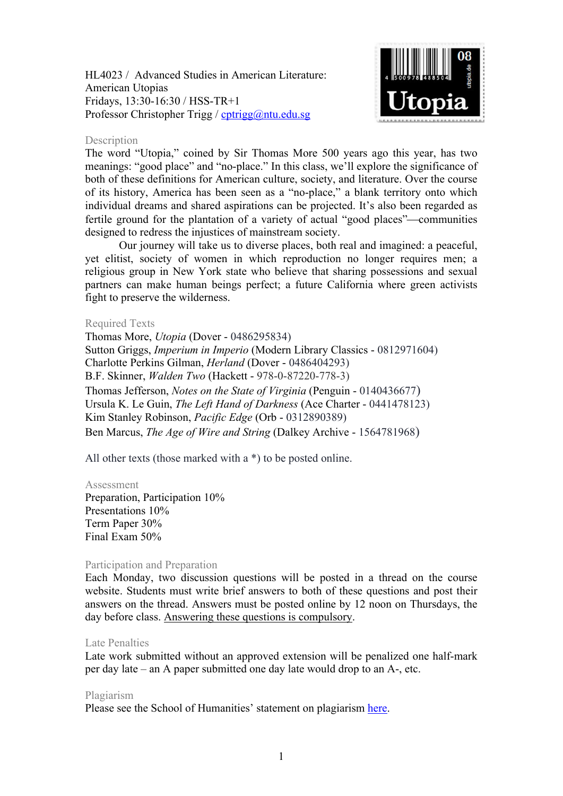HL4023 / Advanced Studies in American Literature: American Utopias Fridays, 13:30-16:30 / HSS-TR+1 Professor Christopher Trigg / [cptrigg@ntu.edu.sg](mailto:cptrigg@ntu.edu.sg)



### Description

The word "Utopia," coined by Sir Thomas More 500 years ago this year, has two meanings: "good place" and "no-place." In this class, we'll explore the significance of both of these definitions for American culture, society, and literature. Over the course of its history, America has been seen as a "no-place," a blank territory onto which individual dreams and shared aspirations can be projected. It's also been regarded as fertile ground for the plantation of a variety of actual "good places"—communities designed to redress the injustices of mainstream society.

Our journey will take us to diverse places, both real and imagined: a peaceful, yet elitist, society of women in which reproduction no longer requires men; a religious group in New York state who believe that sharing possessions and sexual partners can make human beings perfect; a future California where green activists fight to preserve the wilderness.

### Required Texts

Thomas More, *Utopia* (Dover - 0486295834) Sutton Griggs, *Imperium in Imperio* (Modern Library Classics - 0812971604) Charlotte Perkins Gilman, *Herland* (Dover - 0486404293) B.F. Skinner, *Walden Two* (Hackett - 978-0-87220-778-3) Thomas Jefferson, *Notes on the State of Virginia* (Penguin - 0140436677) Ursula K. Le Guin, *The Left Hand of Darkness* (Ace Charter - 0441478123) Kim Stanley Robinson, *Pacific Edge* (Orb - 0312890389) Ben Marcus, *The Age of Wire and String* (Dalkey Archive - 1564781968)

All other texts (those marked with a \*) to be posted online.

#### Assessment

Preparation, Participation 10% Presentations 10% Term Paper 30% Final Exam 50%

## Participation and Preparation

Each Monday, two discussion questions will be posted in a thread on the course website. Students must write brief answers to both of these questions and post their answers on the thread. Answers must be posted online by 12 noon on Thursdays, the day before class. Answering these questions is compulsory.

#### Late Penalties

Late work submitted without an approved extension will be penalized one half-mark per day late – an A paper submitted one day late would drop to an A-, etc.

## Plagiarism

Please see the School of Humanities' statement on plagiarism [here.](http://n4ap0112:6150/Programmes/Undergraduate/current/Pages/forms.aspx)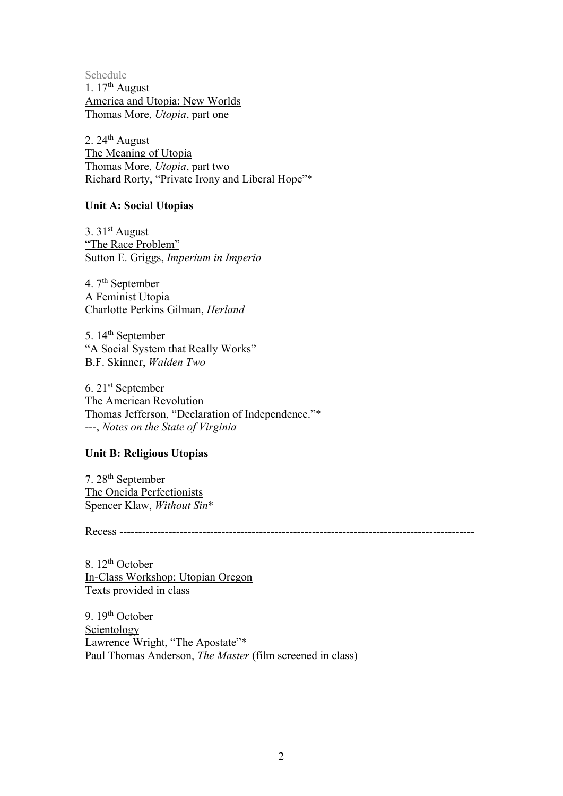Schedule 1.  $17<sup>th</sup>$  August America and Utopia: New Worlds Thomas More, *Utopia*, part one

2.  $24<sup>th</sup>$  August The Meaning of Utopia Thomas More, *Utopia*, part two Richard Rorty, "Private Irony and Liberal Hope"\*

## **Unit A: Social Utopias**

3.  $31<sup>st</sup>$  August "The Race Problem" Sutton E. Griggs, *Imperium in Imperio*

4. 7<sup>th</sup> September A Feminist Utopia Charlotte Perkins Gilman, *Herland*

5. 14<sup>th</sup> September "A Social System that Really Works" B.F. Skinner, *Walden Two*

6. 21st September The American Revolution Thomas Jefferson, "Declaration of Independence."\* ---, *Notes on the State of Virginia*

# **Unit B: Religious Utopias**

7. 28th September The Oneida Perfectionists Spencer Klaw, *Without Sin*\*

Recess ----------------------------------------------------------------------------------------------

8. 12<sup>th</sup> October In-Class Workshop: Utopian Oregon Texts provided in class

9.  $19<sup>th</sup>$  October Scientology Lawrence Wright, "The Apostate"\* Paul Thomas Anderson, *The Master* (film screened in class)